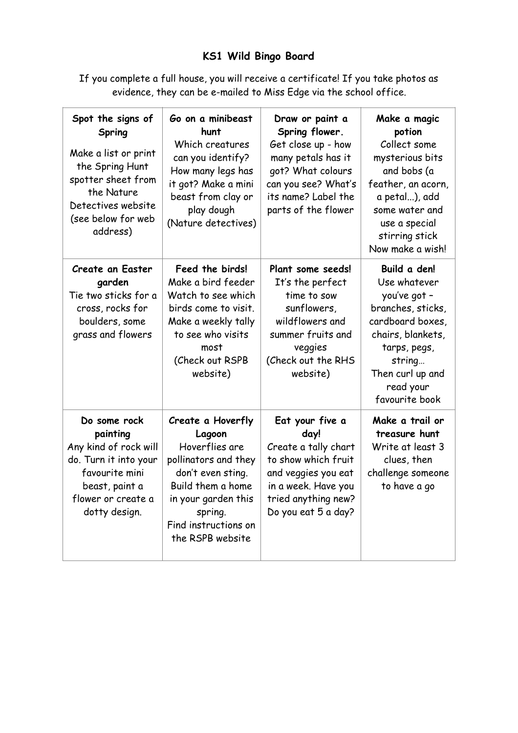## **KS1 Wild Bingo Board**

If you complete a full house, you will receive a certificate! If you take photos as evidence, they can be e-mailed to Miss Edge via the school office.

| Spot the signs of<br>Spring<br>Make a list or print<br>the Spring Hunt<br>spotter sheet from<br>the Nature<br>Detectives website<br>(see below for web<br>address) | Go on a minibeast<br>hunt<br>Which creatures<br>can you identify?<br>How many legs has<br>it got? Make a mini<br>beast from clay or<br>play dough<br>(Nature detectives)                      | Draw or paint a<br>Spring flower.<br>Get close up - how<br>many petals has it<br>got? What colours<br>can you see? What's<br>its name? Label the<br>parts of the flower | Make a magic<br>potion<br>Collect some<br>mysterious bits<br>and bobs (a<br>feather, an acorn,<br>a petal), add<br>some water and<br>use a special<br>stirring stick<br>Now make a wish! |
|--------------------------------------------------------------------------------------------------------------------------------------------------------------------|-----------------------------------------------------------------------------------------------------------------------------------------------------------------------------------------------|-------------------------------------------------------------------------------------------------------------------------------------------------------------------------|------------------------------------------------------------------------------------------------------------------------------------------------------------------------------------------|
| <b>Create an Easter</b><br>garden<br>Tie two sticks for a<br>cross, rocks for<br>boulders, some<br>grass and flowers                                               | Feed the birds!<br>Make a bird feeder<br>Watch to see which<br>birds come to visit.<br>Make a weekly tally<br>to see who visits<br>most<br>(Check out RSPB<br>website)                        | Plant some seeds!<br>It's the perfect<br>time to sow<br>sunflowers,<br>wildflowers and<br>summer fruits and<br>veggies<br>(Check out the RHS<br>website)                | Build a den!<br>Use whatever<br>you've got -<br>branches, sticks,<br>cardboard boxes,<br>chairs, blankets,<br>tarps, pegs,<br>string<br>Then curl up and<br>read your<br>favourite book  |
| Do some rock<br>painting<br>Any kind of rock will<br>do. Turn it into your<br>favourite mini<br>beast, paint a<br>flower or create a<br>dotty design.              | Create a Hoverfly<br>Lagoon<br>Hoverflies are<br>pollinators and they<br>don't even sting.<br>Build them a home<br>in your garden this<br>spring.<br>Find instructions on<br>the RSPB website | Eat your five a<br>day!<br>Create a tally chart<br>to show which fruit<br>and veggies you eat<br>in a week. Have you<br>tried anything new?<br>Do you eat 5 a day?      | Make a trail or<br>treasure hunt<br>Write at least 3<br>clues, then<br>challenge someone<br>to have a go                                                                                 |